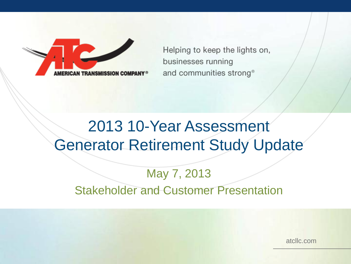Helping to keep the lights on, businesses running and communities strong<sup>®</sup>

## 2013 10-Year Assessment Generator Retirement Study Update

#### May 7, 2013 Stakeholder and Customer Presentation

atcllc.com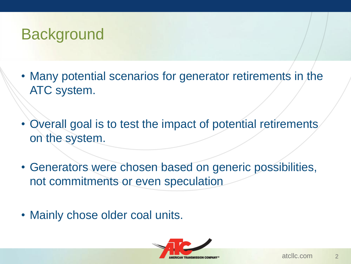## **Background**

- Many potential scenarios for generator retirements in the ATC system.
- Overall goal is to test the impact of potential retirements on the system.
- Generators were chosen based on generic possibilities, not commitments or even speculation
- Mainly chose older coal units.

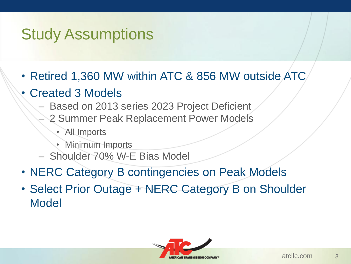## Study Assumptions

- Retired 1,360 MW within ATC & 856 MW outside ATC
- Created 3 Models
	- Based on 2013 series 2023 Project Deficient
		- 2 Summer Peak Replacement Power Models
			- All Imports
			- Minimum Imports
	- Shoulder 70% W-E Bias Model
- NERC Category B contingencies on Peak Models
- Select Prior Outage + NERC Category B on Shoulder Model

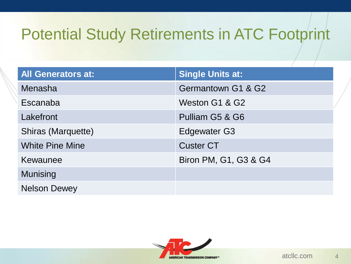# Potential Study Retirements in ATC Footprint

| <b>All Generators at:</b> | Single Units at:      |
|---------------------------|-----------------------|
| Menasha                   | Germantown G1 & G2    |
| Escanaba                  | Weston G1 & G2        |
| Lakefront                 | Pulliam G5 & G6       |
| Shiras (Marquette)        | <b>Edgewater G3</b>   |
| <b>White Pine Mine</b>    | <b>Custer CT</b>      |
| Kewaunee                  | Biron PM, G1, G3 & G4 |
| <b>Munising</b>           |                       |
| <b>Nelson Dewey</b>       |                       |

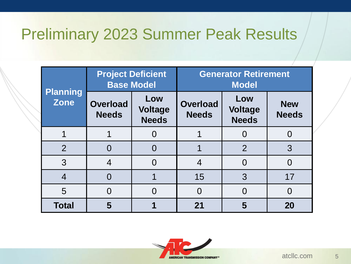## Preliminary 2023 Summer Peak Results

| <b>Planning</b><br><b>Zone</b> | <b>Project Deficient</b><br><b>Base Model</b> |                                       | <b>Generator Retirement</b><br><b>Model</b> |                                       |                            |
|--------------------------------|-----------------------------------------------|---------------------------------------|---------------------------------------------|---------------------------------------|----------------------------|
|                                | <b>Overload</b><br><b>Needs</b>               | Low<br><b>Voltage</b><br><b>Needs</b> | <b>Overload</b><br><b>Needs</b>             | Low<br><b>Voltage</b><br><b>Needs</b> | <b>New</b><br><b>Needs</b> |
|                                |                                               | $\Omega$                              |                                             |                                       |                            |
| $\overline{2}$                 |                                               | $\Omega$                              |                                             | $\overline{2}$                        | 3                          |
| 3                              | 4                                             |                                       | 4                                           | 0                                     |                            |
| $\overline{4}$                 |                                               |                                       | 15                                          | 3                                     | 17                         |
| 5                              |                                               | 0                                     | $\Omega$                                    |                                       | $\Omega$                   |
| <b>Total</b>                   |                                               |                                       | 21                                          | 5                                     | 20                         |

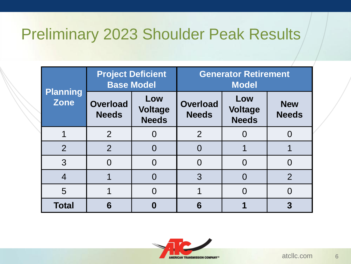## Preliminary 2023 Shoulder Peak Results

| <b>Planning</b><br><b>Zone</b> | <b>Project Deficient</b><br><b>Base Model</b> |                                       | <b>Generator Retirement</b><br><b>Model</b> |                                       |                            |
|--------------------------------|-----------------------------------------------|---------------------------------------|---------------------------------------------|---------------------------------------|----------------------------|
|                                | <b>Overload</b><br><b>Needs</b>               | Low<br><b>Voltage</b><br><b>Needs</b> | <b>Overload</b><br><b>Needs</b>             | Low<br><b>Voltage</b><br><b>Needs</b> | <b>New</b><br><b>Needs</b> |
|                                | $\overline{2}$                                |                                       | $\overline{2}$                              |                                       |                            |
| $\overline{2}$                 | $\overline{2}$                                |                                       |                                             |                                       |                            |
| 3                              |                                               |                                       | Ω                                           |                                       |                            |
| 4                              |                                               |                                       | 3                                           |                                       | $\mathcal{P}$              |
| 5                              |                                               | $\Omega$                              |                                             |                                       |                            |
| <b>Total</b>                   | 6                                             |                                       | 6                                           |                                       |                            |

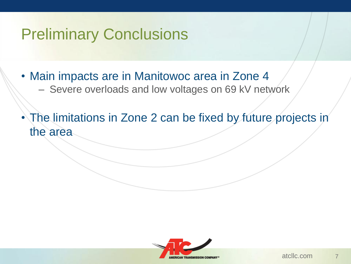## Preliminary Conclusions

- Main impacts are in Manitowoc area in Zone 4
	- Severe overloads and low voltages on 69 kV network
- The limitations in Zone 2 can be fixed by future projects in the area

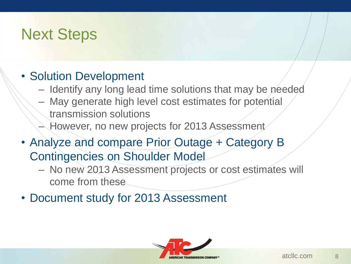## Next Steps

#### • Solution Development

- Identify any long lead time solutions that may be needed
- May generate high level cost estimates for potential transmission solutions
- However, no new projects for 2013 Assessment
- Analyze and compare Prior Outage + Category B Contingencies on Shoulder Model
	- No new 2013 Assessment projects or cost estimates will come from these
- Document study for 2013 Assessment